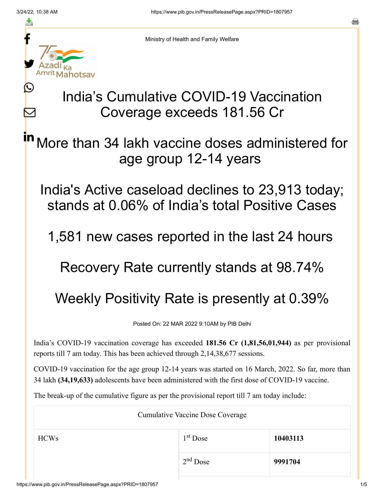≛

Ŀ

 $\bm{\nabla}$ 

Ministry of Health and Family Welfare

## India's Cumulative COVID-19 Vaccination Coverage exceeds 181.56 Cr

More than 34 lakh vaccine doses administered for age group 12-14 years in

India's Active caseload declines to 23,913 today; stands at 0.06% of India's total Positive Cases

1,581 new cases reported in the last 24 hours

Recovery Rate currently stands at 98.74%

## Weekly Positivity Rate is presently at 0.39%

Posted On: 22 MAR 2022 9:10AM by PIB Delhi

India's COVID-19 vaccination coverage has exceeded **181.56 Cr (1,81,56,01,944)** as per provisional reports till 7 am today. This has been achieved through 2,14,38,677 sessions.

COVID-19 vaccination for the age group 12-14 years was started on 16 March, 2022. So far, more than 34 lakh **(34,19,633)** adolescents have been administered with the first dose of COVID-19 vaccine.

The break-up of the cumulative figure as per the provisional report till 7 am today include:

| <b>Cumulative Vaccine Dose Coverage</b> |                      |          |  |
|-----------------------------------------|----------------------|----------|--|
| <b>HCWs</b>                             | 1 <sup>st</sup> Dose | 10403113 |  |
|                                         | $2nd$ Dose           | 9991704  |  |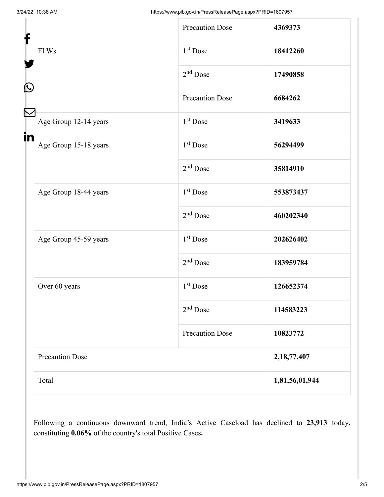| f  |                        | <b>Precaution Dose</b> | 4369373        |
|----|------------------------|------------------------|----------------|
|    | <b>FLWs</b>            | $1st$ Dose             | 18412260       |
| C  |                        | $2nd$ Dose             | 17490858       |
|    |                        | <b>Precaution Dose</b> | 6684262        |
|    | Age Group 12-14 years  | 1 <sup>st</sup> Dose   | 3419633        |
| in | Age Group 15-18 years  | $1st$ Dose             | 56294499       |
|    |                        | $2nd$ Dose             | 35814910       |
|    | Age Group 18-44 years  | $1st$ Dose             | 553873437      |
|    |                        | $2nd$ Dose             | 460202340      |
|    | Age Group 45-59 years  | $1st$ Dose             | 202626402      |
|    |                        | $2nd$ Dose             | 183959784      |
|    | Over 60 years          | 1 <sup>st</sup> Dose   | 126652374      |
|    |                        | $2nd$ Dose             | 114583223      |
|    |                        | <b>Precaution Dose</b> | 10823772       |
|    | <b>Precaution Dose</b> |                        | 2, 18, 77, 407 |
|    | Total                  |                        | 1,81,56,01,944 |

Following a continuous downward trend, India's Active Caseload has declined to **23,913** today**,** constituting **0.06%** of the country's total Positive Cases**.**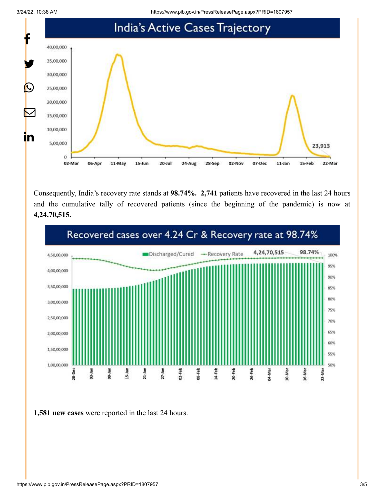

Consequently, India's recovery rate stands at **98.74%. 2,741** patients have recovered in the last 24 hours and the cumulative tally of recovered patients (since the beginning of the pandemic) is now at **4,24,70,515.**



**1,581 new cases** were reported in the last 24 hours.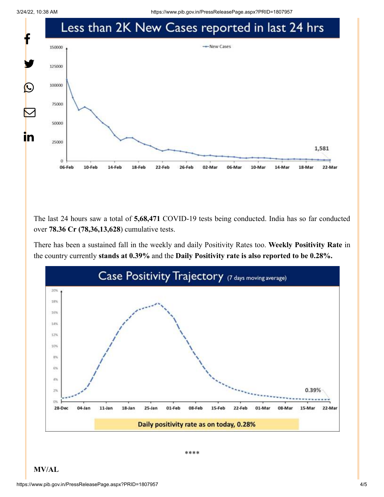3/24/22, 10:38 AM https://www.pib.gov.in/PressReleasePage.aspx?PRID=1807957



The last 24 hours saw a total of **5,68,471** COVID-19 tests being conducted. India has so far conducted over **78.36 Cr (78,36,13,628**) cumulative tests.

There has been a sustained fall in the weekly and daily Positivity Rates too. **Weekly Positivity Rate** in the country currently **stands at 0.39%** and the **Daily Positivity rate is also reported to be 0.28%.**



\*\*\*\*